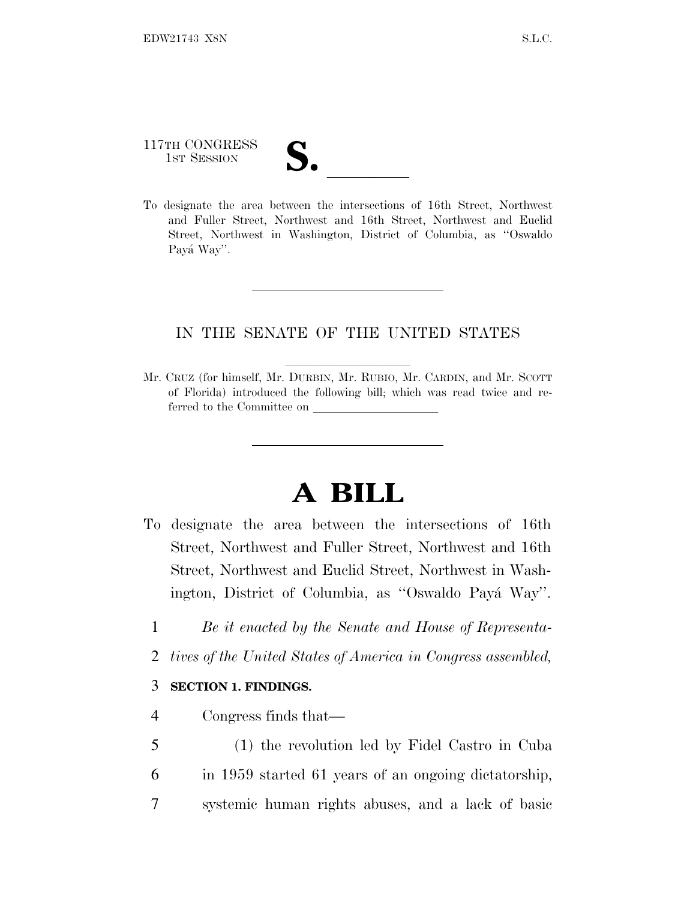# 117TH CONGRESS 117TH CONGRESS<br>
1ST SESSION<br>
To designate the area between the intersections of 16th Street, Northwest

and Fuller Street, Northwest and 16th Street, Northwest and Euclid Street, Northwest in Washington, District of Columbia, as ''Oswaldo Payá Way".

### IN THE SENATE OF THE UNITED STATES

Mr. CRUZ (for himself, Mr. DURBIN, Mr. RUBIO, Mr. CARDIN, and Mr. SCOTT of Florida) introduced the following bill; which was read twice and referred to the Committee on

## **A BILL**

- To designate the area between the intersections of 16th Street, Northwest and Fuller Street, Northwest and 16th Street, Northwest and Euclid Street, Northwest in Washington, District of Columbia, as "Oswaldo Payá Way".
	- 1 *Be it enacted by the Senate and House of Representa-*
	- 2 *tives of the United States of America in Congress assembled,*

#### 3 **SECTION 1. FINDINGS.**

- 4 Congress finds that—
- 5 (1) the revolution led by Fidel Castro in Cuba 6 in 1959 started 61 years of an ongoing dictatorship, 7 systemic human rights abuses, and a lack of basic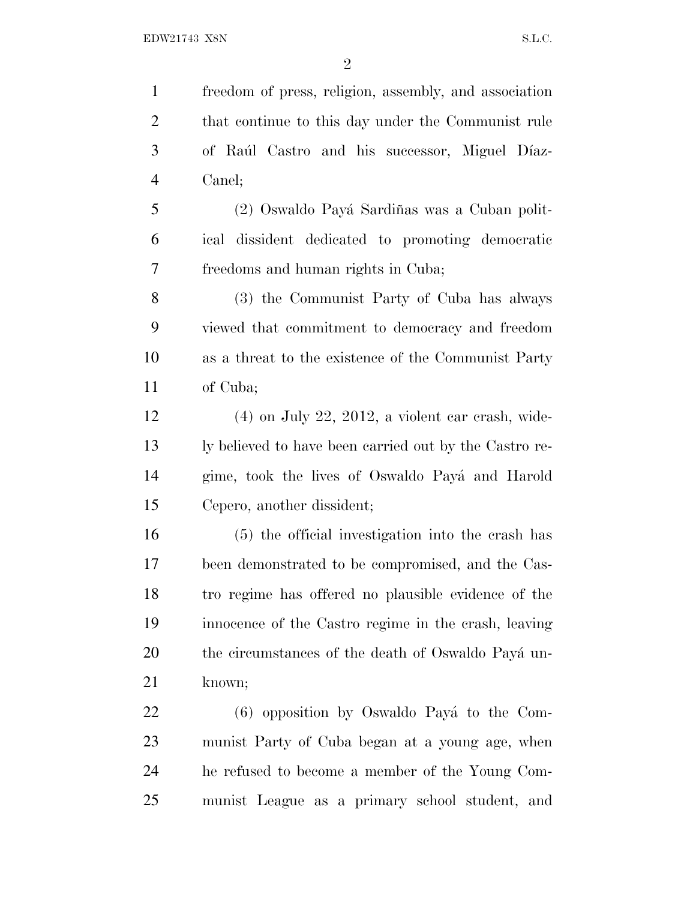freedom of press, religion, assembly, and association that continue to this day under the Communist rule 3 of Raúl Castro and his successor, Miguel Díaz- Canel; 5 (2) Oswaldo Payá Sardiñas was a Cuban polit- ical dissident dedicated to promoting democratic freedoms and human rights in Cuba; (3) the Communist Party of Cuba has always

 viewed that commitment to democracy and freedom as a threat to the existence of the Communist Party of Cuba;

 (4) on July 22, 2012, a violent car crash, wide- ly believed to have been carried out by the Castro re-14 gime, took the lives of Oswaldo Payá and Harold Cepero, another dissident;

 (5) the official investigation into the crash has been demonstrated to be compromised, and the Cas- tro regime has offered no plausible evidence of the innocence of the Castro regime in the crash, leaving 20 the circumstances of the death of Oswaldo Payá un-known;

22 (6) opposition by Oswaldo Payá to the Com- munist Party of Cuba began at a young age, when he refused to become a member of the Young Com-munist League as a primary school student, and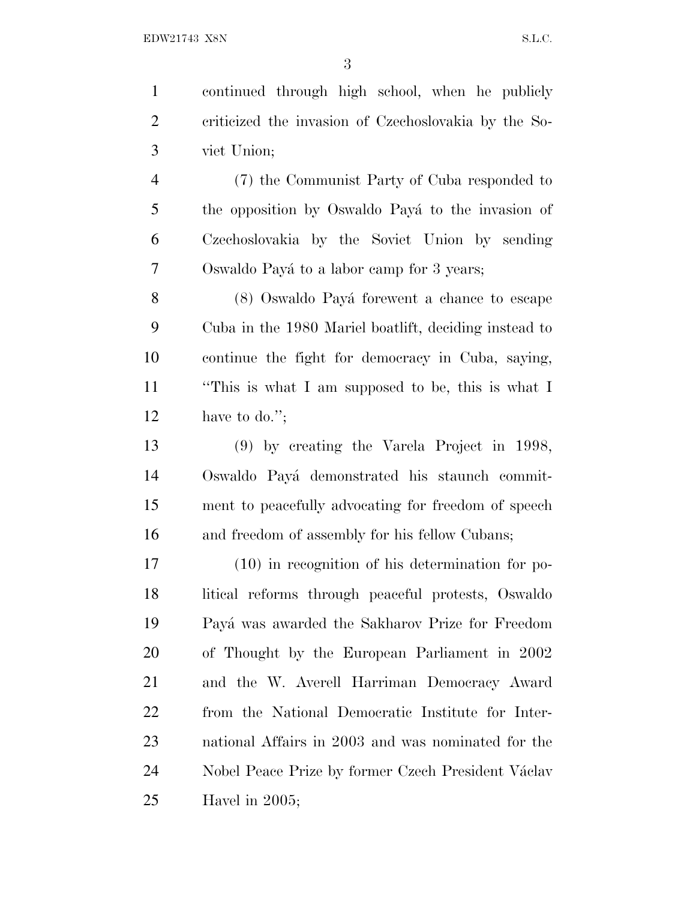continued through high school, when he publicly criticized the invasion of Czechoslovakia by the So- viet Union; (7) the Communist Party of Cuba responded to 5 the opposition by Oswaldo Payá to the invasion of Czechoslovakia by the Soviet Union by sending 7 Oswaldo Payá to a labor camp for 3 years; 8 (8) Oswaldo Payá forewent a chance to escape Cuba in the 1980 Mariel boatlift, deciding instead to continue the fight for democracy in Cuba, saying, ''This is what I am supposed to be, this is what I have to do.''; (9) by creating the Varela Project in 1998, 14 Oswaldo Payá demonstrated his staunch commit- ment to peacefully advocating for freedom of speech 16 and freedom of assembly for his fellow Cubans; (10) in recognition of his determination for po- litical reforms through peaceful protests, Oswaldo Pay´a was awarded the Sakharov Prize for Freedom of Thought by the European Parliament in 2002 and the W. Averell Harriman Democracy Award from the National Democratic Institute for Inter-

 national Affairs in 2003 and was nominated for the 24 Nobel Peace Prize by former Czech President Václav Havel in 2005;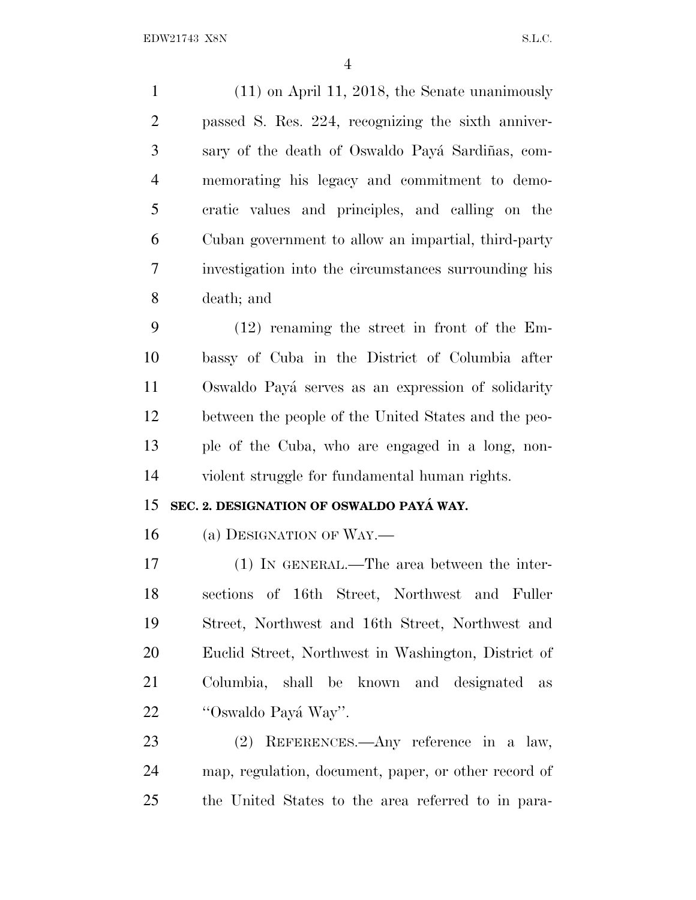(11) on April 11, 2018, the Senate unanimously passed S. Res. 224, recognizing the sixth anniver-3 sary of the death of Oswaldo Payá Sardiñas, com- memorating his legacy and commitment to demo- cratic values and principles, and calling on the Cuban government to allow an impartial, third-party investigation into the circumstances surrounding his death; and

 (12) renaming the street in front of the Em- bassy of Cuba in the District of Columbia after 11 Oswaldo Payá serves as an expression of solidarity between the people of the United States and the peo- ple of the Cuba, who are engaged in a long, non-violent struggle for fundamental human rights.

### **SEC. 2. DESIGNATION OF OSWALDO PAYA´ WAY.**

(a) DESIGNATION OF WAY.—

 (1) IN GENERAL.—The area between the inter- sections of 16th Street, Northwest and Fuller Street, Northwest and 16th Street, Northwest and Euclid Street, Northwest in Washington, District of Columbia, shall be known and designated as 22 "Oswaldo Payá Way".

 (2) REFERENCES.—Any reference in a law, map, regulation, document, paper, or other record of the United States to the area referred to in para-